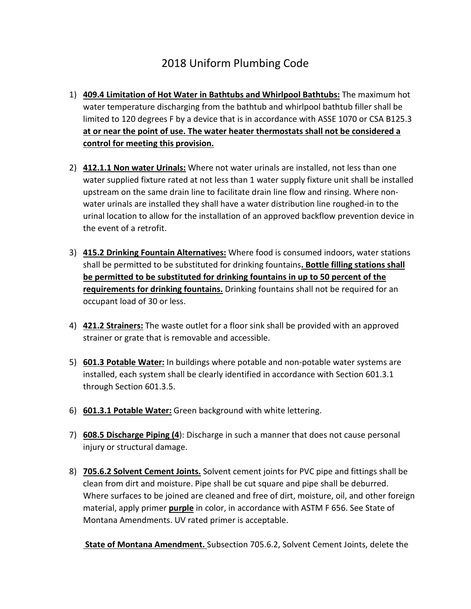## 2018 Uniform Plumbing Code

- 1) **409.4 Limitation of Hot Water in Bathtubs and Whirlpool Bathtubs:** The maximum hot water temperature discharging from the bathtub and whirlpool bathtub filler shall be limited to 120 degrees F by a device that is in accordance with ASSE 1070 or CSA B125.3 **at or near the point of use. The water heater thermostats shall not be considered a control for meeting this provision.**
- 2) **412.1.1 Non water Urinals:** Where not water urinals are installed, not less than one water supplied fixture rated at not less than 1 water supply fixture unit shall be installed upstream on the same drain line to facilitate drain line flow and rinsing. Where nonwater urinals are installed they shall have a water distribution line roughed-in to the urinal location to allow for the installation of an approved backflow prevention device in the event of a retrofit.
- 3) **415.2 Drinking Fountain Alternatives:** Where food is consumed indoors, water stations shall be permitted to be substituted for drinking fountains**. Bottle filling stations shall be permitted to be substituted for drinking fountains in up to 50 percent of the requirements for drinking fountains.** Drinking fountains shall not be required for an occupant load of 30 or less.
- 4) **421.2 Strainers:** The waste outlet for a floor sink shall be provided with an approved strainer or grate that is removable and accessible.
- 5) **601.3 Potable Water:** In buildings where potable and non-potable water systems are installed, each system shall be clearly identified in accordance with Section 601.3.1 through Section 601.3.5.
- 6) **601.3.1 Potable Water:** Green background with white lettering.
- 7) **608.5 Discharge Piping (4**): Discharge in such a manner that does not cause personal injury or structural damage.
- 8) **705.6.2 Solvent Cement Joints.** Solvent cement joints for PVC pipe and fittings shall be clean from dirt and moisture. Pipe shall be cut square and pipe shall be deburred. Where surfaces to be joined are cleaned and free of dirt, moisture, oil, and other foreign material, apply primer **purple** in color, in accordance with ASTM F 656. See State of Montana Amendments. UV rated primer is acceptable.

**State of Montana Amendment.** Subsection 705.6.2, Solvent Cement Joints, delete the